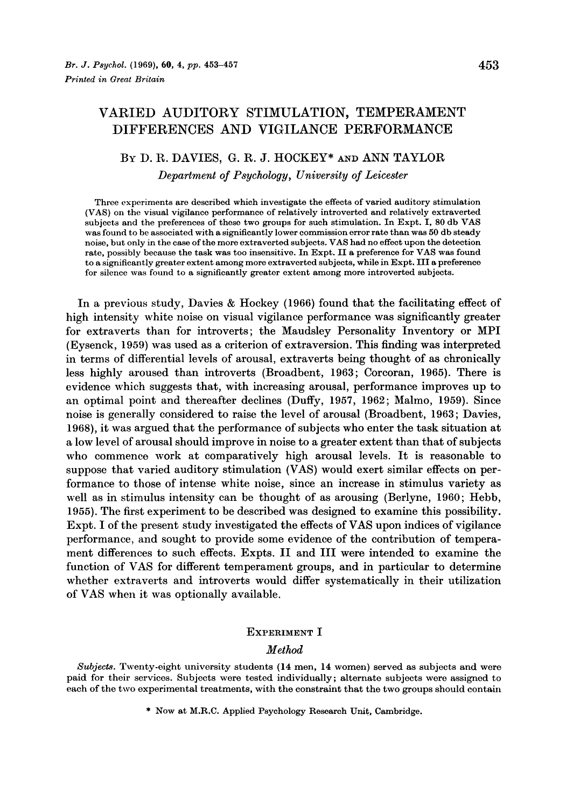# VARIED AUDITORY STIMULATION, TEMPERAMENT DIFFERENCES AND VIGILANCE PERFORMANCE

# BY D. R. DAVIES, G. **R.** J. HOCKEY\* **AND** ANN TAYLOR

*Department of Psychology, University of Leicester* 

Three experiments are described which investigate the effects of varied auditory stimulation **(VAS)** on the visual vigilance performance of relatively introverted and relatively extraverted subjects and the preferences of these two groups for such stimulation. In Expt. I, 80 db **VAS**  was found to be associated with a significantly lower commission error rate than was *50* db steady noise, but only in the case of the more extraverted subjects. **VAS** had no effect upon the detection rate, possibly because the task was too insensitive. In Expt. I1 a preference for **VAS** was found to a significantly greater extent among more extraverted subjects, while in Expt. I11 a preference for silence was found to a significantly greater extent among more introverted subjects.

In a previous study, Davies & Hockey **(1966)** found that the facilitating effect of high intensity white noise on visual vigilance performance was significantly greater for extraverts than for introverts ; the Maudsley Personality Inventory or MPI (Eysenck, **1959)** was used as a criterion of extraversion. This finding was interpreted in terms of differential levels of arousal, extraverts being thought of as chronically less highly aroused than introverts (Broadbent, **1963;** Corcoran, **1965).** There is evidence which suggests that, with increasing arousal, performance improves up to an optimal point and thereafter declines (Duffy, **1957, 1962;** Malmo, **1959).** Since noise is generally considered to raise the level of arousal (Broadbent, **1963;** Davies, **1968),** it was argued that the performance of subjects who enter the task situation at a low level of arousal should improve in noise to a greater extent than that of subjects who commence work at comparatively high arousal levels. It is reasonable to suppose that varied auditory stimulation (VAS) would exert similar effects on performance to those of intense white noise, since an increase in stimulus variety as well as in stimulus intensity can be thought of as arousing (Berlyne, **1960;** Hebb, **1955).** The first experiment to be described was designed to examine this possibility. Expt. I of the present study investigated the effects of **VAS** upon indices of vigilance performance, and sought to provide some evidence of the contribution of temperament differences to such effects. Expts. I1 and I11 were intended to examine the function of VAS for different temperament groups, and in particular to determine whether extraverts and introverts would differ systematically in their utilization of VAS when it was optionally available.

# **EXPERIMENT** I

# *Method*

Subjects. Twenty-eight university students **(14** men, **14** women) served as subjects and were paid for their services. Subjects were tested individually; alternate subjects were assigned to each of the two experimental treatments, with the constraint that the two groups should contain

\* Now at M.R.C. Applied Psychology Research Unit, Cambridge.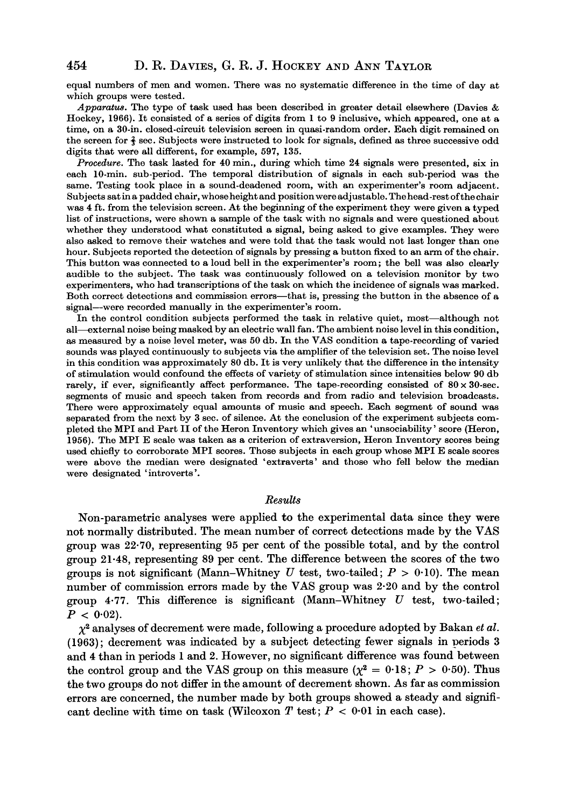equal numbers of men and women. There was no systematic difference in the time of day at which groups were tested.

Apparatus. The type of task used has been described in greater detail elsewhere (Davies & Hockey, 1966). It consisted **of** a series of digits from 1 to 9 inclusive, which appeared, one at **a**  time, on a 30-in. closed-circuit television screen in quasi-random order. Each digit remained on the screen for **3** sec. Subjects were instructed to look for signals, defined as three successive odd digits that were all different, for example, 597, 135.

*Procedure.* The task lasted for **40** min., during which time **24** signals were presented, six in each 10-min. sub-period. The temporal distribution of signals in each sub-period was the same. Testing took place in a sound-deadened room, with an experimenter's room adjacent. Subjects sat ina padded chair, whoseheight and positionwereadjustable. Thehead-rest ofthechair was **4** ft. from the television screen. At the beginning of the experiment they were given **a** typed list of instructions, were shown a sample of the task with no signals and were questioned about whether they understood what constituted a signal, being asked to give examples. They were also asked to remove their watches and were told that the task would not last longer than one hour. Subjects reported the detection of signals by pressing a button fixed to an arm of the chair. This button was connected to a loud bell in the experimenter's room; the bell was also clearly audible to the subject. The task was continuously followed on a television monitor by two experimenters, who had transcriptions of the task on which the incidence of signals **was** marked. Both correct detections and commission errors-that is, pressing the button in the absence of a signal—were recorded manually in the experimenter's room.

In the control condition subjects performed the task in relative quiet, most-although not all—external noise being masked by an electric wall fan. The ambient noise level in this condition, **as** measured by a noise level meter, was 50 db. In the VAS condition a tape-recording of varied sounds was played continuously to subjects via the amplifier of the television set. The noise level in this condition was approximately 80 db. It is very unlikely that the difference in the intensity of stimulation would confound the effects of variety of stimulation since intensities below 90 db rarely, if ever, significantly affect performance. The tape-recording consisted of  $80 \times 30$ -sec. segments of music and speech taken from records and from radio and television broadcasts. There were approximately equal amounts **of** music and speech. Each segment of sound was separated from the next by 3 sec. of silence. At the conclusion of the experiment subjects completed the MPI and Part I1 of the Heron Inventory which gives an 'unsociability' score (Heron, 1956). The MPI E scale was taken as a criterion of extraversion, Heron Inventory scores being used chiefly to corroborate MPI scores. Those subjects in each group whose MPI E scale scores were above the median were designated 'extraverts' and those who fell below the median were designated 'introverts '.

### *Results*

Non-parametric analyses were applied to the experimental data since they were not normally distributed. The mean number of correct detections made by the **VAS**  group was **22.70,** representing **95** per cent of the possible total, and by the control group **21-48,** representing **89 per** cent. The difference between the scores of the two groups is not significant (Mann-Whitney  $U$  test, two-tailed;  $P > 0.10$ ). The mean number of commission errors made by the **VAS** group was **2.20** and by the control group **4.77.** This difference is significant (Mann-Whitney *U* test, two-tailed ;  $P < 0.02$ ).

*x2* analyses of decrement were made, following a procedure adopted by Bakan *et al.*  **(1963);** decrement was indicated by a subject detecting fewer signals in periods **3**  and **4** than in periods **1** and **2.** However, no significant difference was found between the control group and the VAS group on this measure  $(\chi^2 = 0.18; P > 0.50)$ . Thus the two groups do not differ in the amount of decrement shown. **As** far as commission errors are concerned, the number made by both groups showed a steady and significant decline with time on task (Wilcoxon  $T$  test;  $P < 0.01$  in each case).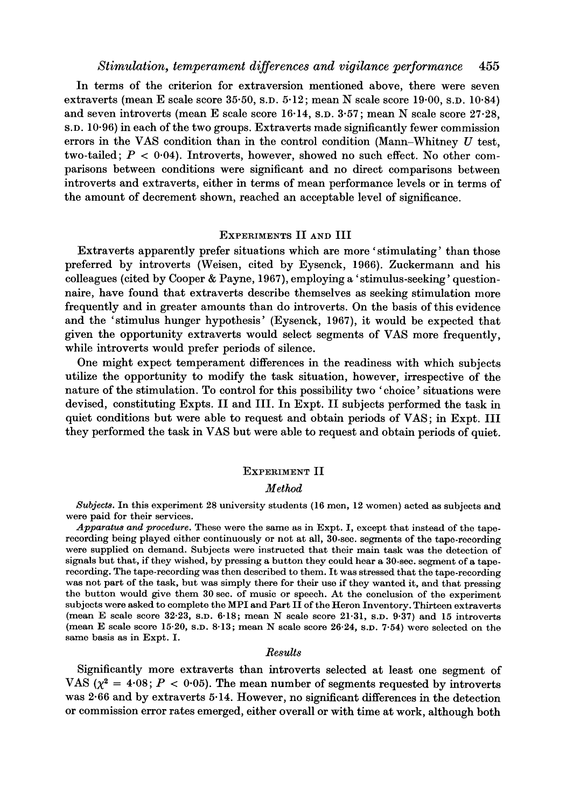In terms of the criterion for extraversion mentioned above, there were seven extraverts (mean E scale score **35.50, S.D. 5.12;** mean **N** scale score **19.00, S.D. 10.84)**  and seven introverts (mean E scale score **16-14, S.D. 3.57;** mean **N** scale score **27.28, S.D. 10.96)** in each of the two groups. Extraverts made significantly fewer commission errors in the **VAS** condition than in the control condition (Mann-Whitney *U* test, two-tailed;  $P < 0.04$ ). Introverts, however, showed no such effect. No other comparisons between conditions were significant and no direct comparisons between introverts and extraverts, either in terms of mean performance levels or in terms of the amount of decrement shown, reached an acceptable level of significance.

### EXPERIMENTS I1 **AND** I11

Extraverts apparently prefer situations which are more 'stimulating' than those preferred by introverts (Weisen, cited by Eysenck, **1966).** Zuckermann and his colleagues (cited by Cooper & Payne, **1967),** employing a ' stimulus-seeking ' questionnaire, have found that extraverts describe themselves as seeking stimulation more frequently and in greater amounts than do introverts. On the basis of this evidence and the 'stimulus hunger hypothesis' (Eysenck, **1967),** it would be expected that given the opportunity extraverts would select segments of **VAS** more frequently, while introverts would prefer periods of silence.

One might expect temperament differences in the readiness with which subjects utilize the opportunity to modify the task situation, however, irrespective of the nature of the stimulation. To control for this possibility two 'choice' situations were devised, constituting Expts. I1 and 111. In Expt. I1 subjects performed the task in quiet conditions but were able to request and obtain periods of **VAS;** in Expt. I11 they performed the task in **VAS** but were able to request and obtain periods of quiet.

#### EXPERIMENT II

#### *Method*

Subjects. In this experiment 28 university students (16 men, 12 women) acted as subjects and were paid for their services.

Apparatus *and procedure.* These were the same as in Expt. I, except that instead of the taperecording being played either continuously or not at all, 30-sec. segments of the tape-recording were supplied on demand. Subjects were instructed that their main task was the detection of signals but that, if they wished, by pressing a button they could hear a 30-sec. segment of **a** taperecording. The tape-recording was then described to them. It was stressed that the tape-recording was not part of the task, but was simply there for their use if they wanted it, and that pressing the button would give them 30 sec. of music or speech. At the conclusion of the experiment subjects were asked to complete the MPI and Part I1 of the Heron Inventory. Thirteen extraverts (mean E scale score 32.23, **S.D.** 6.18; mean N scale score 21.31, **S.D.** 9.37) and 15 introverts (mean E scale score 15.20, **S.D.** 8.13; mean N scale score 26.24, **S.D.** 7-54) were selected on the same basis as in Expt. I.

#### *Results*

Significantly more extraverts than introverts selected at least one segment of VAS  $(\chi^2 = 4.08; P < 0.05)$ . The mean number of segments requested by introverts was **2-66** and by extraverts **5-14.** However, no significant differences in the detection or commission error rates emerged, either overall or with time at work, although both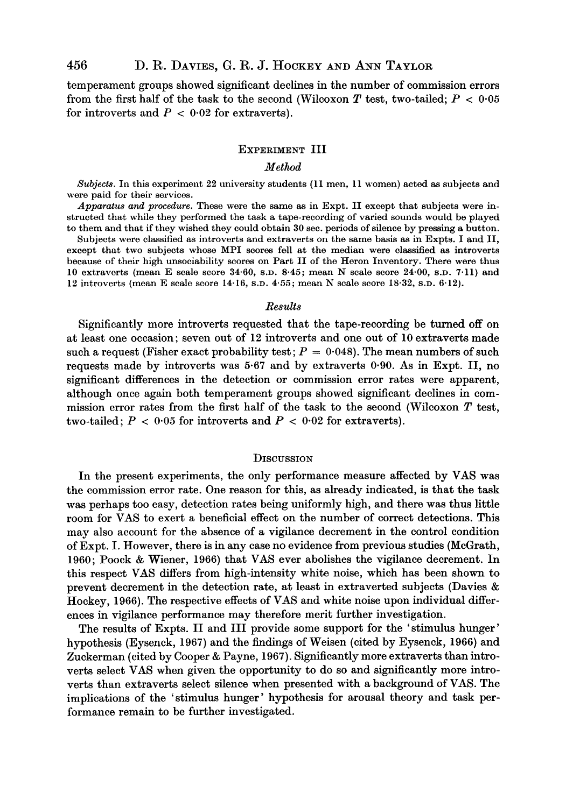temperament groups showed significant declines in the number of commission errors from the first half of the task to the second (Wilcoxon *T* test, two-tailed; *P* < *0.05*  for introverts and  $P < 0.02$  for extraverts).

### EXPERIMENT III

#### *Method*

*Subjects.* **In this experiment 22 university students (11 men, 11 women) acted as subjects and were paid for their services.** 

*Apparatus and procedure.* **These were the same as in Expt. I1 except that subjects were instructed that while they performed the task a tape-recording of varied sounds would be played**  to them and that if they wished they could obtain 30 sec. periods of silence by pressing a button.

**Subjects were classified as introverts and extraverts on the same basis as in Expts. I and 11, except that two subjects whose MPI scores fell at the median were classified** *as* **introverts because of their high unsociability scores on Part I1 of the Heron Inventory. There were thus 10 extraverts (mean E scale score 34.60, S.D. 8.45; mean N scale score 24-00, S.D. 7.11) and 12 introverts (mean E scale score 14.16, S.D. 4.55; mean N scale score 18.32, S.D. 6.12).** 

#### *Results*

Significantly more introverts requested that the tape-recording be turned off on at least one occasion; seven out of **12** introverts and one out of **10** extraverts made such a request (Fisher exact probability test;  $P = 0.048$ ). The mean numbers of such requests made by introverts was **5.67** and by extraverts **0.90. As** in Expt. 11, no significant differences in the detection or commission error rates were apparent, although once again both temperament groups showed significant declines in commission error rates from the first half of the task to the second (Wilcoxon *T* test, two-tailed;  $P < 0.05$  for introverts and  $P < 0.02$  for extraverts).

#### **DISCUSSION**

In the present experiments, the only performance measure affected by **VAS** was the commission error rate. One reason for this, as already indicated, is that the task was perhaps too easy, detection rates being uniformly high, and there was thus little room for **VAS** to exert a beneficial effect on the number of correct detections. This may also account for the absence of a vigilance decrement in the control condition of Expt. I. However, there is in any case no evidence from previous studies (McGrath, **1960;** Poock & Wiener, **1966)** that **VAS** ever abolishes the vigilance decrement. In this respect **VAS** differs from high-intensity white noise, which has been shown to prevent decrement in the detection rate, at least in extraverted subjects (Davies & Hockey, **1966).** The respective effects of **VAS** and white noise upon individual differences in vigilance performance may therefore merit further investigation.

The results of Expts. II and III provide some support for the 'stimulus hunger' hypothesis (Eysenck, **1967)** and the findings of Weisen (cited by Eysenck, **1966)** and Zuckerman (cited by Cooper & Payne, **1967).** Significantly more extraverts than introverts select **VAS** when given the opportunity to do so and significantly more introverts than extraverts select silence when presented with a background of **VAS.** The implications of the 'stimulus hunger' hypothesis for arousal theory and task performance remain to be further investigated.